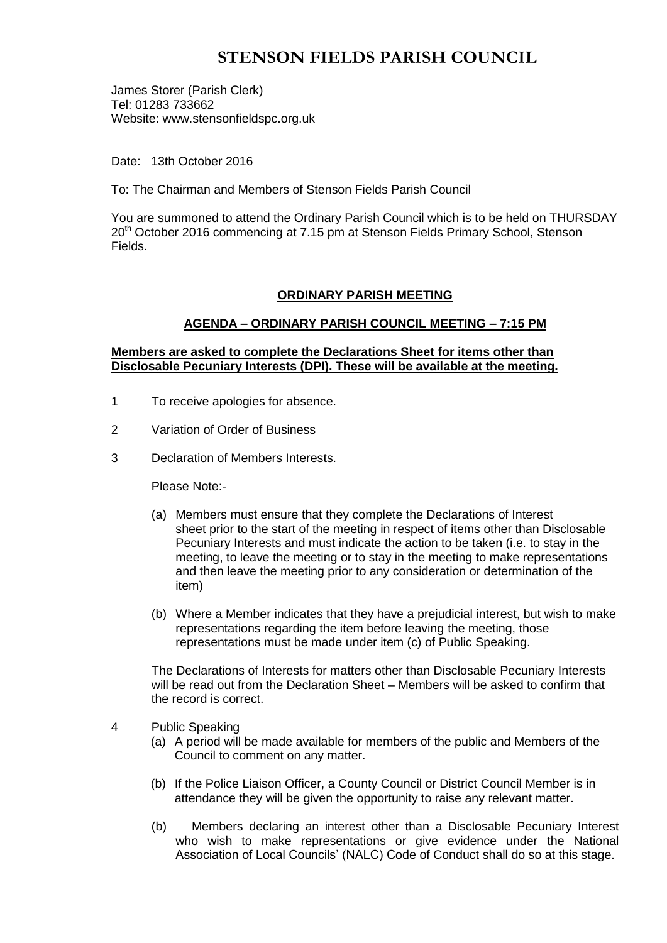# **STENSON FIELDS PARISH COUNCIL**

James Storer (Parish Clerk) Tel: 01283 733662 Website: www.stensonfieldspc.org.uk

Date: 13th October 2016

To: The Chairman and Members of Stenson Fields Parish Council

You are summoned to attend the Ordinary Parish Council which is to be held on THURSDAY 20<sup>th</sup> October 2016 commencing at 7.15 pm at Stenson Fields Primary School, Stenson Fields.

## **ORDINARY PARISH MEETING**

## **AGENDA – ORDINARY PARISH COUNCIL MEETING – 7:15 PM**

### **Members are asked to complete the Declarations Sheet for items other than Disclosable Pecuniary Interests (DPI). These will be available at the meeting.**

- 1 To receive apologies for absence.
- 2 Variation of Order of Business
- 3 Declaration of Members Interests.

Please Note:-

- (a) Members must ensure that they complete the Declarations of Interest sheet prior to the start of the meeting in respect of items other than Disclosable Pecuniary Interests and must indicate the action to be taken (i.e. to stay in the meeting, to leave the meeting or to stay in the meeting to make representations and then leave the meeting prior to any consideration or determination of the item)
- (b) Where a Member indicates that they have a prejudicial interest, but wish to make representations regarding the item before leaving the meeting, those representations must be made under item (c) of Public Speaking.

The Declarations of Interests for matters other than Disclosable Pecuniary Interests will be read out from the Declaration Sheet – Members will be asked to confirm that the record is correct.

- 4 Public Speaking
	- (a) A period will be made available for members of the public and Members of the Council to comment on any matter.
	- (b) If the Police Liaison Officer, a County Council or District Council Member is in attendance they will be given the opportunity to raise any relevant matter.
	- (b) Members declaring an interest other than a Disclosable Pecuniary Interest who wish to make representations or give evidence under the National Association of Local Councils' (NALC) Code of Conduct shall do so at this stage.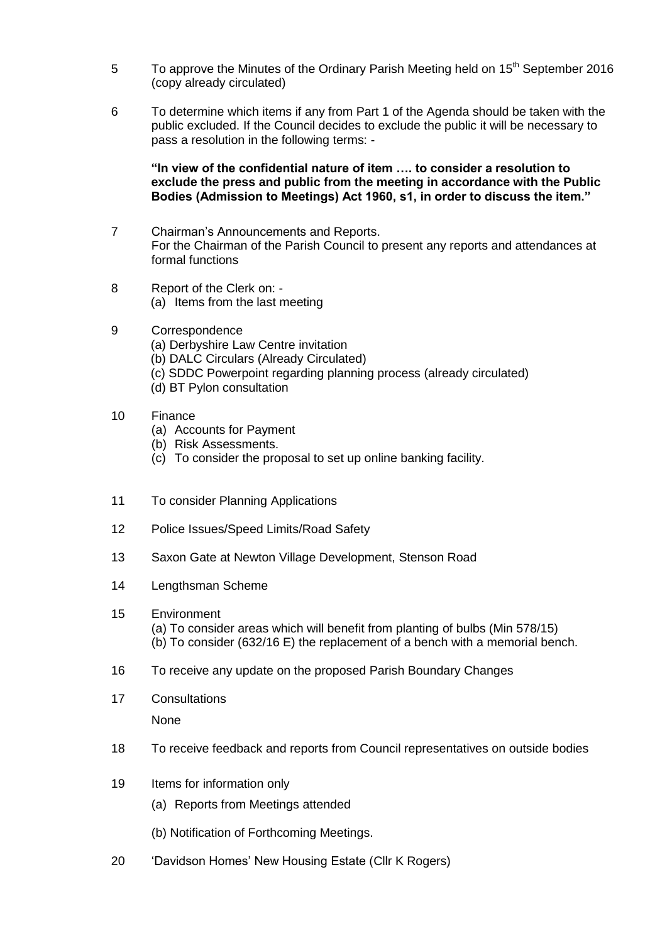- 5 To approve the Minutes of the Ordinary Parish Meeting held on 15<sup>th</sup> September 2016 (copy already circulated)
- 6 To determine which items if any from Part 1 of the Agenda should be taken with the public excluded. If the Council decides to exclude the public it will be necessary to pass a resolution in the following terms: -

**"In view of the confidential nature of item …. to consider a resolution to exclude the press and public from the meeting in accordance with the Public Bodies (Admission to Meetings) Act 1960, s1, in order to discuss the item."** 

- 7 Chairman's Announcements and Reports. For the Chairman of the Parish Council to present any reports and attendances at formal functions
- 8 Report of the Clerk on: (a) Items from the last meeting
- 9 Correspondence
	- (a) Derbyshire Law Centre invitation
	- (b) DALC Circulars (Already Circulated)
	- (c) SDDC Powerpoint regarding planning process (already circulated)
	- (d) BT Pylon consultation
- 10 Finance
	- (a) Accounts for Payment
	- (b) Risk Assessments.
	- (c) To consider the proposal to set up online banking facility.
- 11 To consider Planning Applications
- 12 Police Issues/Speed Limits/Road Safety
- 13 Saxon Gate at Newton Village Development, Stenson Road
- 14 Lengthsman Scheme
- 15 Environment
	- (a) To consider areas which will benefit from planting of bulbs (Min 578/15) (b) To consider (632/16 E) the replacement of a bench with a memorial bench.
- 16 To receive any update on the proposed Parish Boundary Changes
- 17 Consultations

None

- 18 To receive feedback and reports from Council representatives on outside bodies
- 19 Items for information only
	- (a) Reports from Meetings attended
	- (b) Notification of Forthcoming Meetings.
- 20 'Davidson Homes' New Housing Estate (Cllr K Rogers)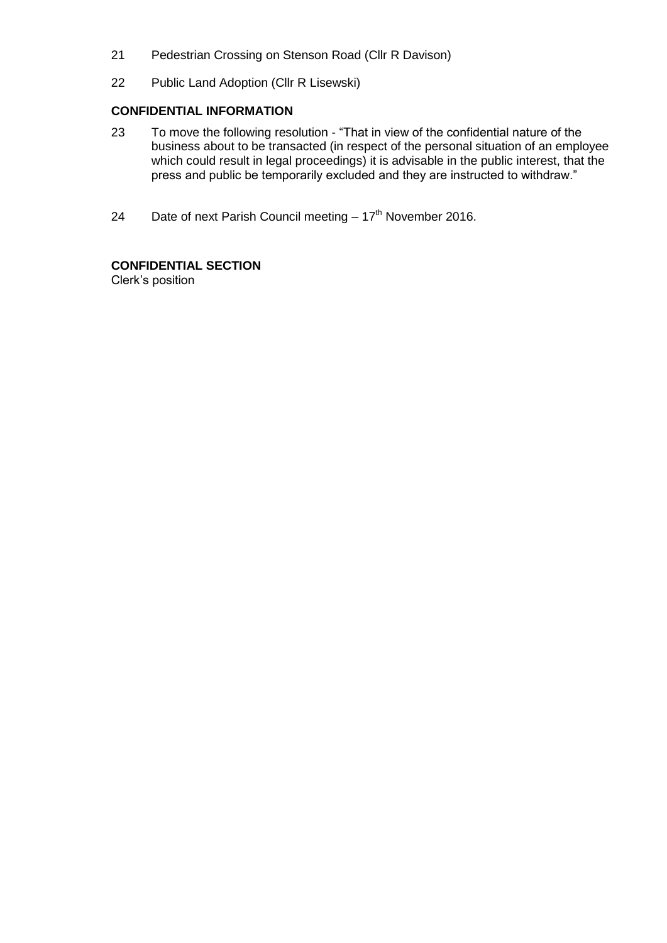- 21 Pedestrian Crossing on Stenson Road (Cllr R Davison)
- 22 Public Land Adoption (Cllr R Lisewski)

### **CONFIDENTIAL INFORMATION**

- 23 To move the following resolution "That in view of the confidential nature of the business about to be transacted (in respect of the personal situation of an employee which could result in legal proceedings) it is advisable in the public interest, that the press and public be temporarily excluded and they are instructed to withdraw."
- 24 Date of next Parish Council meeting  $-17<sup>th</sup>$  November 2016.

# **CONFIDENTIAL SECTION**

Clerk's position